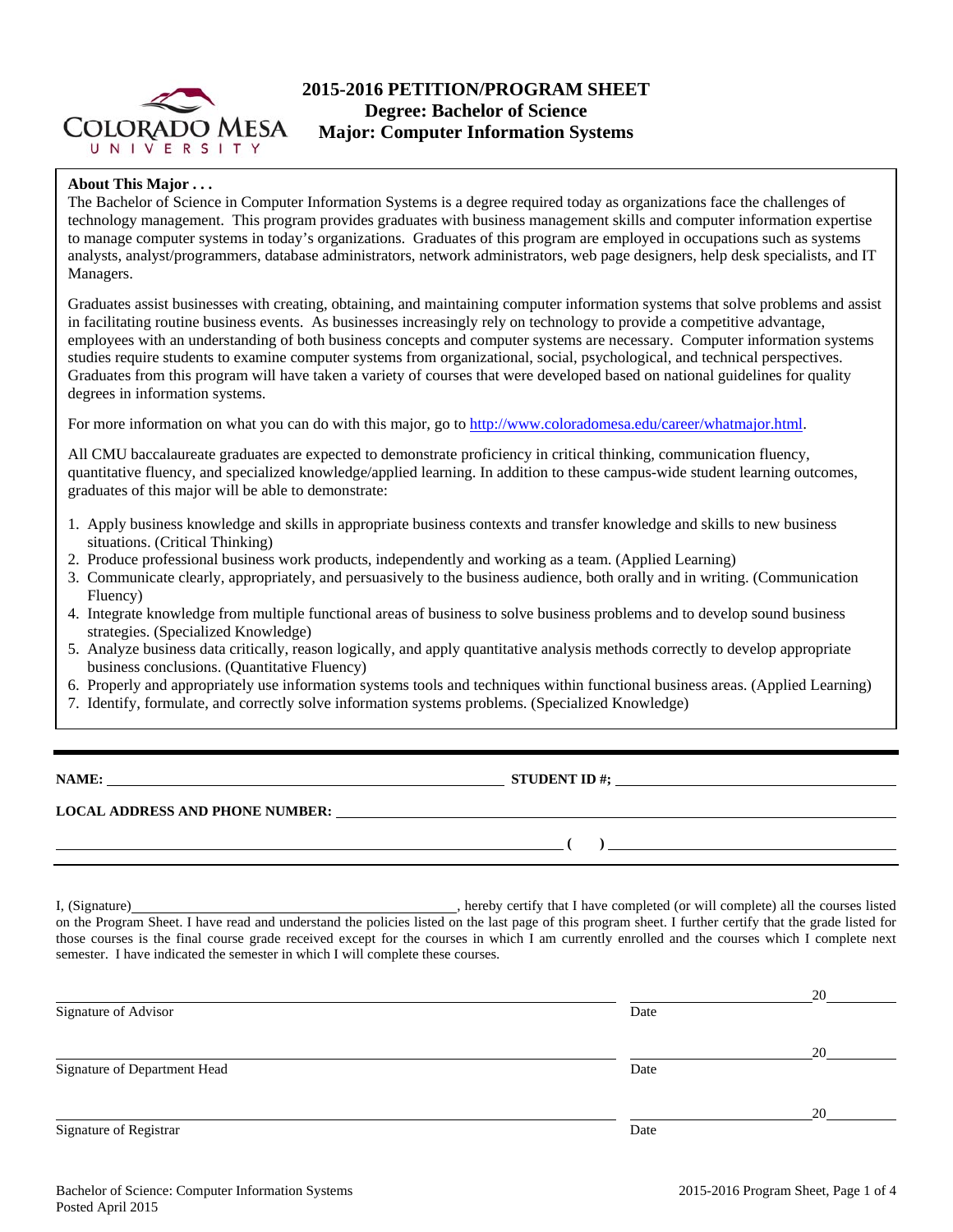

## **2015-2016 PETITION/PROGRAM SHEET Degree: Bachelor of Science Major: Computer Information Systems**

#### **About This Major . . .**

The Bachelor of Science in Computer Information Systems is a degree required today as organizations face the challenges of technology management. This program provides graduates with business management skills and computer information expertise to manage computer systems in today's organizations. Graduates of this program are employed in occupations such as systems analysts, analyst/programmers, database administrators, network administrators, web page designers, help desk specialists, and IT Managers.

Graduates assist businesses with creating, obtaining, and maintaining computer information systems that solve problems and assist in facilitating routine business events. As businesses increasingly rely on technology to provide a competitive advantage, employees with an understanding of both business concepts and computer systems are necessary. Computer information systems studies require students to examine computer systems from organizational, social, psychological, and technical perspectives. Graduates from this program will have taken a variety of courses that were developed based on national guidelines for quality degrees in information systems.

For more information on what you can do with this major, go to http://www.coloradomesa.edu/career/whatmajor.html.

All CMU baccalaureate graduates are expected to demonstrate proficiency in critical thinking, communication fluency, quantitative fluency, and specialized knowledge/applied learning. In addition to these campus-wide student learning outcomes, graduates of this major will be able to demonstrate:

- 1. Apply business knowledge and skills in appropriate business contexts and transfer knowledge and skills to new business situations. (Critical Thinking)
- 2. Produce professional business work products, independently and working as a team. (Applied Learning)
- 3. Communicate clearly, appropriately, and persuasively to the business audience, both orally and in writing. (Communication Fluency)
- 4. Integrate knowledge from multiple functional areas of business to solve business problems and to develop sound business strategies. (Specialized Knowledge)
- 5. Analyze business data critically, reason logically, and apply quantitative analysis methods correctly to develop appropriate business conclusions. (Quantitative Fluency)
- 6. Properly and appropriately use information systems tools and techniques within functional business areas. (Applied Learning)
- 7. Identify, formulate, and correctly solve information systems problems. (Specialized Knowledge)

**NAME: STUDENT ID #; STUDENT ID #; STUDENT ID #; STUDENT ID #; STUDENT ID #; STUDENT ID #; STUDENT ID #; STUDENT ID #; STUDENT ID #; STUDENT ID #; STUDENT ID #; STUDENT ID #; STUDENT ID #; STUDE** 

#### **LOCAL ADDRESS AND PHONE NUMBER:**

 **( )** 

I, (Signature)
U. Signature
U. Signature
U. Signature
U. Signature
U. Signature
U. Signature
U. Signature
U. Signature
U. Signature
U. Signature
U. Signature
U. Signature
U. Signature
U. Signature
U. Signature
U. Signature on the Program Sheet. I have read and understand the policies listed on the last page of this program sheet. I further certify that the grade listed for those courses is the final course grade received except for the courses in which I am currently enrolled and the courses which I complete next semester. I have indicated the semester in which I will complete these courses.

|                              |      | 20 |
|------------------------------|------|----|
| Signature of Advisor         | Date |    |
|                              |      | 20 |
| Signature of Department Head | Date |    |
|                              |      | 20 |
| Signature of Registrar       | Date |    |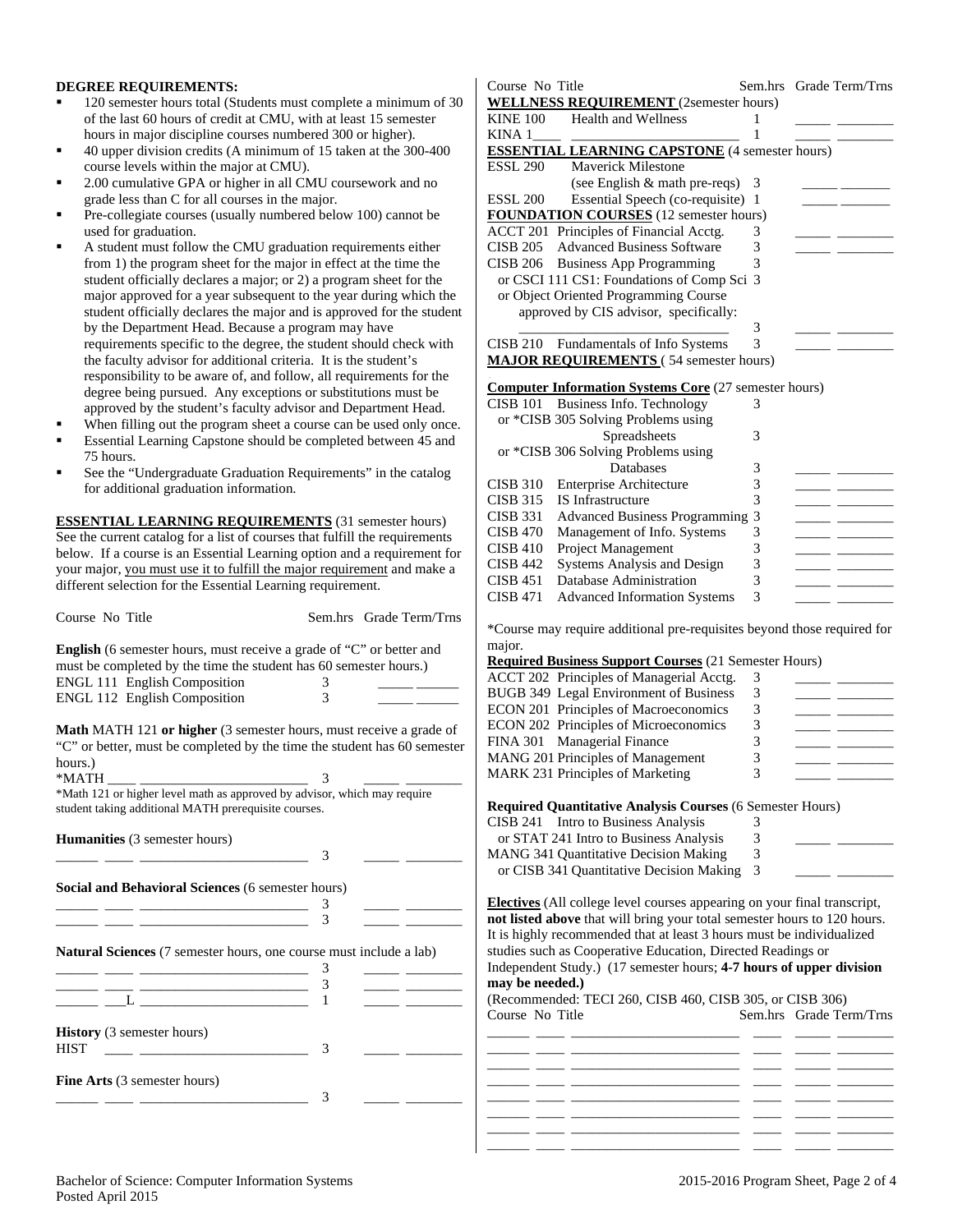#### **DEGREE REQUIREMENTS:**

- 120 semester hours total (Students must complete a minimum of 30 of the last 60 hours of credit at CMU, with at least 15 semester hours in major discipline courses numbered 300 or higher).
- 40 upper division credits (A minimum of 15 taken at the 300-400 course levels within the major at CMU).
- 2.00 cumulative GPA or higher in all CMU coursework and no grade less than C for all courses in the major.
- Pre-collegiate courses (usually numbered below 100) cannot be used for graduation.
- A student must follow the CMU graduation requirements either from 1) the program sheet for the major in effect at the time the student officially declares a major; or 2) a program sheet for the major approved for a year subsequent to the year during which the student officially declares the major and is approved for the student by the Department Head. Because a program may have requirements specific to the degree, the student should check with the faculty advisor for additional criteria. It is the student's responsibility to be aware of, and follow, all requirements for the degree being pursued. Any exceptions or substitutions must be approved by the student's faculty advisor and Department Head.
- When filling out the program sheet a course can be used only once.
- Essential Learning Capstone should be completed between 45 and 75 hours.
- See the "Undergraduate Graduation Requirements" in the catalog for additional graduation information.

**ESSENTIAL LEARNING REQUIREMENTS** (31 semester hours) See the current catalog for a list of courses that fulfill the requirements below. If a course is an Essential Learning option and a requirement for your major, you must use it to fulfill the major requirement and make a different selection for the Essential Learning requirement.

| Course No Title                                                                                                                                                                                                                                                                                                      |        | Sem.hrs Grade Term/Trns |
|----------------------------------------------------------------------------------------------------------------------------------------------------------------------------------------------------------------------------------------------------------------------------------------------------------------------|--------|-------------------------|
| <b>English</b> (6 semester hours, must receive a grade of "C" or better and<br>must be completed by the time the student has 60 semester hours.)<br>ENGL 111 English Composition                                                                                                                                     | 3      |                         |
| ENGL 112 English Composition                                                                                                                                                                                                                                                                                         | 3      |                         |
| <b>Math</b> MATH 121 <b>or higher</b> (3 semester hours, must receive a grade of<br>"C" or better, must be completed by the time the student has 60 semester<br>hours.)<br>*MATH<br>*Math 121 or higher level math as approved by advisor, which may require<br>student taking additional MATH prerequisite courses. | 3      |                         |
|                                                                                                                                                                                                                                                                                                                      |        |                         |
| Humanities (3 semester hours)                                                                                                                                                                                                                                                                                        | 3      |                         |
| <b>Social and Behavioral Sciences (6 semester hours)</b>                                                                                                                                                                                                                                                             |        |                         |
|                                                                                                                                                                                                                                                                                                                      | 3      |                         |
| <u> 1989 - Andrea Stadt, fransk politiker (d. 1989)</u>                                                                                                                                                                                                                                                              | 3      |                         |
| Natural Sciences (7 semester hours, one course must include a lab)                                                                                                                                                                                                                                                   |        |                         |
|                                                                                                                                                                                                                                                                                                                      | 3      |                         |
|                                                                                                                                                                                                                                                                                                                      | 3<br>1 |                         |
|                                                                                                                                                                                                                                                                                                                      |        |                         |
| <b>History</b> (3 semester hours)<br><b>HIST</b>                                                                                                                                                                                                                                                                     | 3      |                         |
| Fine Arts (3 semester hours)                                                                                                                                                                                                                                                                                         | 3      |                         |

| Course No Title |                                                                         | Sem.hrs | Grade Term/Trns |
|-----------------|-------------------------------------------------------------------------|---------|-----------------|
|                 | <b>WELLNESS REQUIREMENT</b> (2semester hours)                           |         |                 |
| <b>KINE 100</b> | <b>Health and Wellness</b>                                              | 1       |                 |
| KINA 1          |                                                                         | 1       |                 |
|                 | <b>ESSENTIAL LEARNING CAPSTONE</b> (4 semester hours)                   |         |                 |
| ESSL 290        | <b>Maverick Milestone</b>                                               |         |                 |
|                 | (see English & math pre-reqs)                                           | 3       |                 |
| <b>ESSL 200</b> | Essential Speech (co-requisite)                                         | 1       |                 |
|                 | <b>FOUNDATION COURSES</b> (12 semester hours)                           |         |                 |
|                 | ACCT 201 Principles of Financial Acctg.                                 | 3       |                 |
| <b>CISB 205</b> | <b>Advanced Business Software</b>                                       | 3       |                 |
| <b>CISB 206</b> | <b>Business App Programming</b>                                         | 3       |                 |
|                 | or CSCI 111 CS1: Foundations of Comp Sci 3                              |         |                 |
|                 | or Object Oriented Programming Course                                   |         |                 |
|                 | approved by CIS advisor, specifically:                                  |         |                 |
|                 |                                                                         | 3       |                 |
|                 | CISB 210 Fundamentals of Info Systems                                   | 3       |                 |
|                 | <b>MAJOR REQUIREMENTS</b> (54 semester hours)                           |         |                 |
|                 |                                                                         |         |                 |
|                 | <b>Computer Information Systems Core (27 semester hours)</b>            |         |                 |
|                 | CISB 101 Business Info. Technology                                      | 3       |                 |
|                 | or *CISB 305 Solving Problems using                                     |         |                 |
|                 | Spreadsheets                                                            | 3       |                 |
|                 | or *CISB 306 Solving Problems using                                     |         |                 |
|                 | Databases                                                               | 3       |                 |
| <b>CISB 310</b> | <b>Enterprise Architecture</b>                                          | 3       |                 |
| <b>CISB 315</b> | <b>IS</b> Infrastructure                                                | 3       |                 |
| <b>CISB 331</b> | <b>Advanced Business Programming</b>                                    | 3       |                 |
| <b>CISB 470</b> | Management of Info. Systems                                             | 3       |                 |
| <b>CISB 410</b> | Project Management                                                      | 3       |                 |
| <b>CISB 442</b> | Systems Analysis and Design                                             | 3       |                 |
| <b>CISB 451</b> | Database Administration                                                 | 3       |                 |
| <b>CISB 471</b> | <b>Advanced Information Systems</b>                                     | 3       |                 |
|                 |                                                                         |         |                 |
|                 | *Course may require additional pre-requisites beyond those required for |         |                 |
| major.          |                                                                         |         |                 |
|                 | <b>Required Business Support Courses</b> (21 Semester Hours)            |         |                 |
|                 | ACCT 202 Principles of Managerial Acctg.                                | 3       |                 |
|                 | BUGB 349 Legal Environment of Business                                  | 3       |                 |
|                 | ECON 201 Principles of Macroeconomics                                   | 3       |                 |
|                 | ECON 202 Principles of Microeconomics                                   | 3       |                 |
| <b>FINA 301</b> | <b>Managerial Finance</b>                                               | 3       |                 |
|                 | MANG 201 Principles of Management                                       | 3       |                 |

**Required Quantitative Analysis Courses** (6 Semester Hours)

| CISB 241 Intro to Business Analysis          |   |  |
|----------------------------------------------|---|--|
| or STAT 241 Intro to Business Analysis       | 3 |  |
| <b>MANG 341 Quantitative Decision Making</b> |   |  |
| or CISB 341 Quantitative Decision Making 3   |   |  |

MANG 201 Principles of Management MARK 231 Principles of Marketing 3

**Electives** (All college level courses appearing on your final transcript, **not listed above** that will bring your total semester hours to 120 hours. It is highly recommended that at least 3 hours must be individualized studies such as Cooperative Education, Directed Readings or Independent Study.) (17 semester hours; **4-7 hours of upper division may be needed.)** 

| $\frac{1}{2}$   |  | (Recommended: TECI 260, CISB 460, CISB 305, or CISB 306) |                         |  |
|-----------------|--|----------------------------------------------------------|-------------------------|--|
| Course No Title |  |                                                          | Sem.hrs Grade Term/Trns |  |
|                 |  |                                                          |                         |  |
|                 |  |                                                          |                         |  |
|                 |  |                                                          |                         |  |
|                 |  |                                                          |                         |  |
|                 |  |                                                          |                         |  |
|                 |  |                                                          |                         |  |
|                 |  |                                                          |                         |  |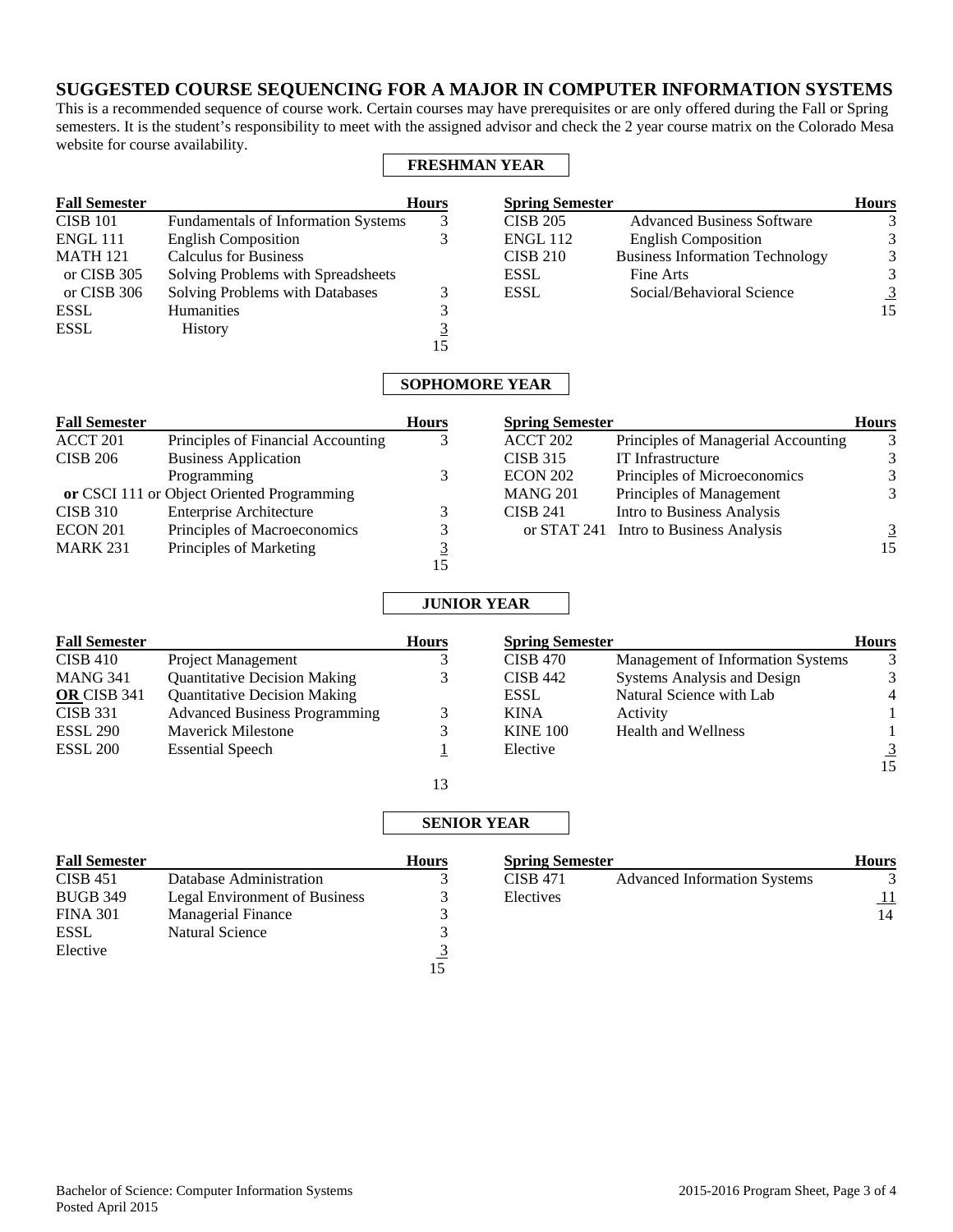# **SUGGESTED COURSE SEQUENCING FOR A MAJOR IN COMPUTER INFORMATION SYSTEMS**

This is a recommended sequence of course work. Certain courses may have prerequisites or are only offered during the Fall or Spring semesters. It is the student's responsibility to meet with the assigned advisor and check the 2 year course matrix on the Colorado Mesa website for course availability.

### **FRESHMAN YEAR**

| <b>Fall Semester</b> |                                            | <b>Hours</b> | <b>Spring Semester</b> |                                        | <b>Hours</b> |
|----------------------|--------------------------------------------|--------------|------------------------|----------------------------------------|--------------|
| <b>CISB 101</b>      | <b>Fundamentals of Information Systems</b> |              | <b>CISB 205</b>        | <b>Advanced Business Software</b>      |              |
| <b>ENGL 111</b>      | <b>English Composition</b>                 |              | <b>ENGL 112</b>        | <b>English Composition</b>             |              |
| <b>MATH 121</b>      | <b>Calculus for Business</b>               |              | <b>CISB 210</b>        | <b>Business Information Technology</b> | 3            |
| or CISB 305          | Solving Problems with Spreadsheets         |              | <b>ESSL</b>            | Fine Arts                              | 3            |
| or CISB 306          | Solving Problems with Databases            |              | <b>ESSL</b>            | Social/Behavioral Science              | 3            |
| <b>ESSL</b>          | <b>Humanities</b>                          |              |                        |                                        | 15           |
| <b>ESSL</b>          | <b>History</b>                             | <u>3</u>     |                        |                                        |              |
|                      |                                            | 15           |                        |                                        |              |

## **SOPHOMORE YEAR**

| <b>Fall Semester</b> |                                            | <b>Hours</b> | <b>Spring Semester</b> |                                        | <b>Hours</b> |
|----------------------|--------------------------------------------|--------------|------------------------|----------------------------------------|--------------|
| ACCT 201             | Principles of Financial Accounting         | 3            | ACCT 202               | Principles of Managerial Accounting    | 3            |
| <b>CISB 206</b>      | <b>Business Application</b>                |              | <b>CISB 315</b>        | IT Infrastructure                      | 3            |
|                      | Programming                                |              | <b>ECON 202</b>        | Principles of Microeconomics           | 3            |
|                      | or CSCI 111 or Object Oriented Programming |              | <b>MANG 201</b>        | Principles of Management               | 3            |
| <b>CISB 310</b>      | <b>Enterprise Architecture</b>             |              | <b>CISB 241</b>        | Intro to Business Analysis             |              |
| <b>ECON 201</b>      | Principles of Macroeconomics               |              |                        | or STAT 241 Intro to Business Analysis | 3            |
| <b>MARK 231</b>      | Principles of Marketing                    |              |                        |                                        | 15           |
|                      |                                            | כ ו          |                        |                                        |              |

### **JUNIOR YEAR**

| <b>Fall Semester</b> |                                      | <b>Hours</b> | <b>Spring Semester</b> |                                    | <b>Hours</b>   |
|----------------------|--------------------------------------|--------------|------------------------|------------------------------------|----------------|
| <b>CISB 410</b>      | <b>Project Management</b>            |              | <b>CISB 470</b>        | Management of Information Systems  | 3              |
| <b>MANG 341</b>      | <b>Quantitative Decision Making</b>  |              | <b>CISB 442</b>        | <b>Systems Analysis and Design</b> | 3              |
| OR CISB 341          | <b>Quantitative Decision Making</b>  |              | <b>ESSL</b>            | Natural Science with Lab           | 4              |
| <b>CISB 331</b>      | <b>Advanced Business Programming</b> |              | <b>KINA</b>            | Activity                           |                |
| ESSL 290             | <b>Maverick Milestone</b>            |              | <b>KINE 100</b>        | <b>Health and Wellness</b>         |                |
| <b>ESSL 200</b>      | <b>Essential Speech</b>              |              | Elective               |                                    | $\overline{3}$ |
|                      |                                      |              |                        |                                    | 15             |

## **SENIOR YEAR**

| <b>Fall Semester</b> |                                      | <b>Hours</b> |
|----------------------|--------------------------------------|--------------|
| <b>CISB 451</b>      | Database Administration              |              |
| <b>BUGB 349</b>      | <b>Legal Environment of Business</b> |              |
| <b>FINA 301</b>      | <b>Managerial Finance</b>            |              |
| <b>ESSL</b>          | <b>Natural Science</b>               |              |
| Elective             |                                      |              |
|                      |                                      |              |

13

| <b>Spring Semester</b> |                                     | <b>Hours</b> |
|------------------------|-------------------------------------|--------------|
| <b>CISB 471</b>        | <b>Advanced Information Systems</b> |              |
| Electives              |                                     | <u>_</u>     |
|                        |                                     | 14           |